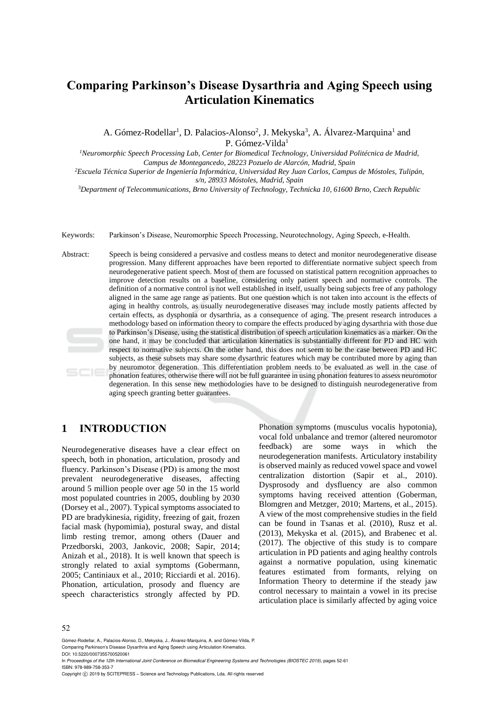# **Comparing Parkinson's Disease Dysarthria and Aging Speech using Articulation Kinematics**

A. Gómez-Rodellar<sup>1</sup>, D. Palacios-Alonso<sup>2</sup>, J. Mekyska<sup>3</sup>, A. Álvarez-Marquina<sup>1</sup> and P. Gómez-Vilda<sup>1</sup>

*<sup>1</sup>Neuromorphic Speech Processing Lab, Center for Biomedical Technology, Universidad Politécnica de Madrid, Campus de Montegancedo, 28223 Pozuelo de Alarcón, Madrid, Spain*

*<sup>2</sup>Escuela Técnica Superior de Ingeniería Informática, Universidad Rey Juan Carlos, Campus de Móstoles, Tulipán, s/n, 28933 Móstoles, Madrid, Spain*

<sup>3</sup>*Department of Telecommunications, Brno University of Technology, Technicka 10, 61600 Brno, Czech Republic*

Keywords: Parkinson's Disease, Neuromorphic Speech Processing, Neurotechnology, Aging Speech, e-Health.

Abstract: Speech is being considered a pervasive and costless means to detect and monitor neurodegenerative disease progression. Many different approaches have been reported to differentiate normative subject speech from neurodegenerative patient speech. Most of them are focussed on statistical pattern recognition approaches to improve detection results on a baseline, considering only patient speech and normative controls. The definition of a normative control is not well established in itself, usually being subjects free of any pathology aligned in the same age range as patients. But one question which is not taken into account is the effects of aging in healthy controls, as usually neurodegenerative diseases may include mostly patients affected by certain effects, as dysphonia or dysarthria, as a consequence of aging. The present research introduces a methodology based on information theory to compare the effects produced by aging dysarthria with those due to Parkinson's Disease, using the statistical distribution of speech articulation kinematics as a marker. On the one hand, it may be concluded that articulation kinematics is substantially different for PD and HC with respect to normative subjects. On the other hand, this does not seem to be the case between PD and HC subjects, as these subsets may share some dysarthric features which may be contributed more by aging than by neuromotor degeneration. This differentiation problem needs to be evaluated as well in the case of phonation features, otherwise there will not be full guarantee in using phonation features to assess neuromotor degeneration. In this sense new methodologies have to be designed to distinguish neurodegenerative from aging speech granting better guarantees.

## **1 INTRODUCTION**

Neurodegenerative diseases have a clear effect on speech, both in phonation, articulation, prosody and fluency. Parkinson's Disease (PD) is among the most prevalent neurodegenerative diseases, affecting around 5 million people over age 50 in the 15 world most populated countries in 2005, doubling by 2030 (Dorsey et al., 2007). Typical symptoms associated to PD are bradykinesia, rigidity, freezing of gait, frozen facial mask (hypomimia), postural sway, and distal limb resting tremor, among others (Dauer and Przedborski, 2003, Jankovic, 2008; Sapir, 2014; Anizah et al., 2018). It is well known that speech is strongly related to axial symptoms (Gobermann, 2005; Cantiniaux et al., 2010; Ricciardi et al. 2016). Phonation, articulation, prosody and fluency are speech characteristics strongly affected by PD.

Phonation symptoms (musculus vocalis hypotonia), vocal fold unbalance and tremor (altered neuromotor feedback) are some ways in which the neurodegeneration manifests. Articulatory instability is observed mainly as reduced vowel space and vowel centralization distortion (Sapir et al., 2010). Dysprosody and dysfluency are also common symptoms having received attention (Goberman, Blomgren and Metzger, 2010; Martens, et al., 2015). A view of the most comprehensive studies in the field can be found in Tsanas et al. (2010), Rusz et al. (2013), Mekyska et al. (2015), and Brabenec et al. (2017). The objective of this study is to compare articulation in PD patients and aging healthy controls against a normative population, using kinematic features estimated from formants, relying on Information Theory to determine if the steady jaw control necessary to maintain a vowel in its precise articulation place is similarly affected by aging voice

#### 52

Gómez-Rodellar, A., Palacios-Alonso, D., Mekyska, J., Álvarez-Marquina, A. and Gómez-Vilda, P. Comparing Parkinson's Disease Dysarthria and Aging Speech using Articulation Kinematics.

DOI: 10.5220/0007355700520061

In *Proceedings of the 12th International Joint Conference on Biomedical Engineering Systems and Technologies (BIOSTEC 2019)*, pages 52-61 ISBN: 978-989-758-353-7

Copyright © 2019 by SCITEPRESS - Science and Technology Publications, Lda. All rights reserved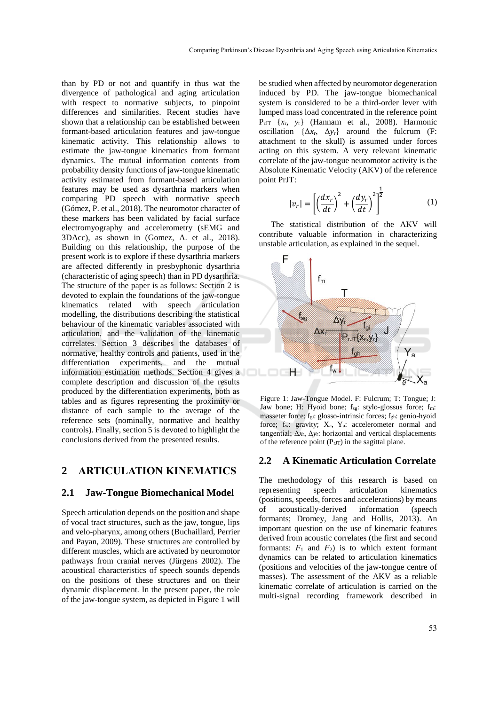than by PD or not and quantify in thus wat the divergence of pathological and aging articulation with respect to normative subjects, to pinpoint differences and similarities. Recent studies have shown that a relationship can be established between formant-based articulation features and jaw-tongue kinematic activity. This relationship allows to estimate the jaw-tongue kinematics from formant dynamics. The mutual information contents from probability density functions of jaw-tongue kinematic activity estimated from formant-based articulation features may be used as dysarthria markers when comparing PD speech with normative speech (Gómez, P. et al., 2018). The neuromotor character of these markers has been validated by facial surface electromyography and accelerometry (sEMG and 3DAcc), as shown in (Gomez, A. et al., 2018). Building on this relationship, the purpose of the present work is to explore if these dysarthria markers are affected differently in presbyphonic dysarthria (characteristic of aging speech) than in PD dysarthria. The structure of the paper is as follows: Section 2 is devoted to explain the foundations of the jaw-tongue kinematics related with speech articulation modelling, the distributions describing the statistical behaviour of the kinematic variables associated with articulation, and the validation of the kinematic correlates. Section 3 describes the databases of normative, healthy controls and patients, used in the differentiation experiments, and the mutual information estimation methods. Section 4 gives a complete description and discussion of the results produced by the differentiation experiments, both as tables and as figures representing the proximity or distance of each sample to the average of the reference sets (nominally, normative and healthy controls). Finally, section 5 is devoted to highlight the conclusions derived from the presented results.

### **2 ARTICULATION KINEMATICS**

#### **2.1 Jaw-Tongue Biomechanical Model**

Speech articulation depends on the position and shape of vocal tract structures, such as the jaw, tongue, lips and velo-pharynx, among others (Buchaillard, Perrier and Payan, 2009). These structures are controlled by different muscles, which are activated by neuromotor pathways from cranial nerves (Jürgens 2002). The acoustical characteristics of speech sounds depends on the positions of these structures and on their dynamic displacement. In the present paper, the role of the jaw-tongue system, as depicted in Figure 1 will

be studied when affected by neuromotor degeneration induced by PD. The jaw-tongue biomechanical system is considered to be a third-order lever with lumped mass load concentrated in the reference point PrJT {*x*r, *y*r} (Hannam et al., 2008). Harmonic oscillation  $\{\Delta x_r, \Delta y_r\}$  around the fulcrum (F: attachment to the skull) is assumed under forces acting on this system. A very relevant kinematic correlate of the jaw-tongue neuromotor activity is the Absolute Kinematic Velocity (AKV) of the reference point PrJT:

$$
|v_r| = \left[ \left( \frac{dx_r}{dt} \right)^2 + \left( \frac{dy_r}{dt} \right)^2 \right]^{\frac{1}{2}}
$$
 (1)

The statistical distribution of the AKV will contribute valuable information in characterizing unstable articulation, as explained in the sequel.



Figure 1: Jaw-Tongue Model. F: Fulcrum; T: Tongue; J: Jaw bone; H: Hyoid bone; fsg: stylo-glossus force; fm: masseter force; fgi: glosso-intrinsic forces; fgh: genio-hyoid force; fw: gravity; Xa, Ya: accelerometer normal and tangential; Δ*x*r, Δ*y*r: horizontal and vertical displacements of the reference point  $(P<sub>rJT</sub>)$  in the sagittal plane.

#### **2.2 A Kinematic Articulation Correlate**

The methodology of this research is based on representing speech articulation kinematics (positions, speeds, forces and accelerations) by means of acoustically-derived information (speech formants; Dromey, Jang and Hollis, 2013). An important question on the use of kinematic features derived from acoustic correlates (the first and second formants:  $F_1$  and  $F_2$ ) is to which extent formant dynamics can be related to articulation kinematics (positions and velocities of the jaw-tongue centre of masses). The assessment of the AKV as a reliable kinematic correlate of articulation is carried on the multi-signal recording framework described in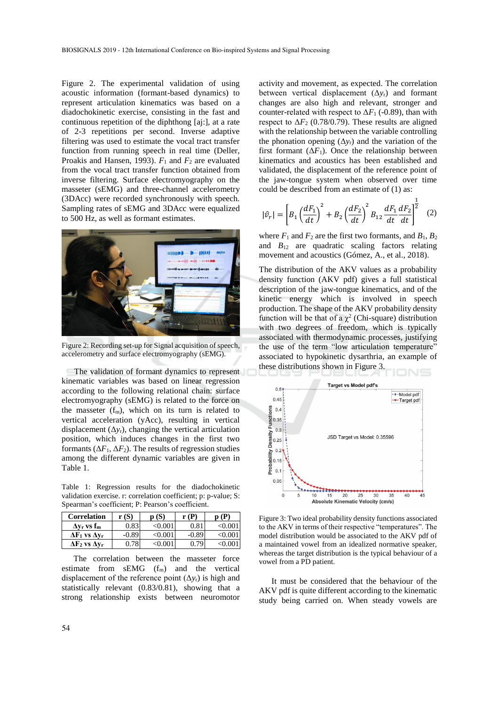Figure 2. The experimental validation of using acoustic information (formant-based dynamics) to represent articulation kinematics was based on a diadochokinetic exercise, consisting in the fast and continuous repetition of the diphthong [aj:], at a rate of 2-3 repetitions per second. Inverse adaptive filtering was used to estimate the vocal tract transfer function from running speech in real time (Deller, Proakis and Hansen, 1993). *F*<sup>1</sup> and *F*<sup>2</sup> are evaluated from the vocal tract transfer function obtained from inverse filtering. Surface electromyography on the masseter (sEMG) and three-channel accelerometry (3DAcc) were recorded synchronously with speech. Sampling rates of sEMG and 3DAcc were equalized to 500 Hz, as well as formant estimates.



Figure 2: Recording set-up for Signal acquisition of speech, accelerometry and surface electromyography (sEMG).

The validation of formant dynamics to represent kinematic variables was based on linear regression according to the following relational chain: surface electromyography (sEMG) is related to the force on the masseter  $(f_m)$ , which on its turn is related to vertical acceleration (yAcc), resulting in vertical displacement  $(\Delta y_r)$ , changing the vertical articulation position, which induces changes in the first two formants  $(\Delta F_1, \Delta F_2)$ . The results of regression studies among the different dynamic variables are given in Table 1.

Table 1: Regression results for the diadochokinetic validation exercise. r: correlation coefficient; p: p-value; S: Spearman's coefficient; P: Pearson's coefficient.

| <b>Correlation</b>             | r (S)   | p(S)         | r(P)    | (P)   |
|--------------------------------|---------|--------------|---------|-------|
| $\Delta v_r$ vs f <sub>m</sub> | 0.83    | $<\!\!0.001$ | 0.81    |       |
| $\Delta F_1$ vs $\Delta v_r$   | $-0.89$ | <0.001       | $-0.89$ | <∪.∪€ |
| $\Delta F_2$ vs $\Delta v_r$   | 0.78    | -⁄() ()∟     | በ 79    |       |

The correlation between the masseter force estimate from  $sEMG$  ( $f_m$ ) and the vertical displacement of the reference point  $(\Delta y_r)$  is high and statistically relevant (0.83/0.81), showing that a strong relationship exists between neuromotor

activity and movement, as expected. The correlation between vertical displacement (Δ*y*r) and formant changes are also high and relevant, stronger and counter-related with respect to  $\Delta F_1$  (-0.89), than with respect to  $\Delta F_2$  (0.78/0.79). These results are aligned with the relationship between the variable controlling the phonation opening  $(\Delta y_r)$  and the variation of the first formant  $(\Delta F_1)$ . Once the relationship between kinematics and acoustics has been established and validated, the displacement of the reference point of the jaw-tongue system when observed over time could be described from an estimate of (1) as:

$$
|\hat{v}_r| = \left[ B_1 \left( \frac{dF_1}{dt} \right)^2 + B_2 \left( \frac{dF_2}{dt} \right)^2 B_{12} \frac{dF_1}{dt} \frac{dF_2}{dt} \right]^{\frac{1}{2}} \quad (2)
$$

where  $F_1$  and  $F_2$  are the first two formants, and  $B_1, B_2$ and  $B_{12}$  are quadratic scaling factors relating movement and acoustics (Gómez, A., et al., 2018).

The distribution of the AKV values as a probability density function (AKV pdf) gives a full statistical description of the jaw-tongue kinematics, and of the kinetic energy which is involved in speech production. The shape of the AKV probability density function will be that of a  $\chi^2$  (Chi-square) distribution with two degrees of freedom, which is typically associated with thermodynamic processes, justifying the use of the term "low articulation temperature" associated to hypokinetic dysarthria, an example of these distributions shown in Figure 3.



Figure 3: Two ideal probability density functions associated to the AKV in terms of their respective "temperatures". The model distribution would be associated to the AKV pdf of a maintained vowel from an idealized normative speaker, whereas the target distribution is the typical behaviour of a vowel from a PD patient.

It must be considered that the behaviour of the AKV pdf is quite different according to the kinematic study being carried on. When steady vowels are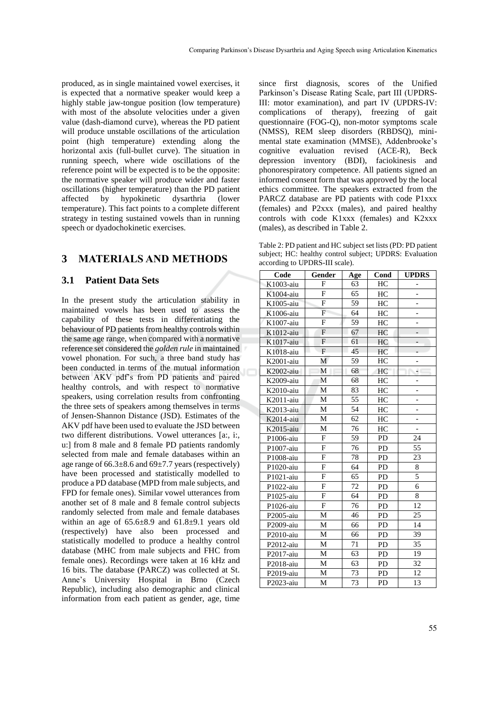produced, as in single maintained vowel exercises, it is expected that a normative speaker would keep a highly stable jaw-tongue position (low temperature) with most of the absolute velocities under a given value (dash-diamond curve), whereas the PD patient will produce unstable oscillations of the articulation point (high temperature) extending along the horizontal axis (full-bullet curve). The situation in running speech, where wide oscillations of the reference point will be expected is to be the opposite: the normative speaker will produce wider and faster oscillations (higher temperature) than the PD patient affected by hypokinetic dysarthria (lower temperature). This fact points to a complete different strategy in testing sustained vowels than in running speech or dyadochokinetic exercises.

### **3 MATERIALS AND METHODS**

### **3.1 Patient Data Sets**

In the present study the articulation stability in maintained vowels has been used to assess the capability of these tests in differentiating the behaviour of PD patients from healthy controls within the same age range, when compared with a normative reference set considered the *golden rule* in maintained vowel phonation. For such, a three band study has been conducted in terms of the mutual information between AKV pdf's from PD patients and paired healthy controls, and with respect to normative speakers, using correlation results from confronting the three sets of speakers among themselves in terms of Jensen-Shannon Distance (JSD). Estimates of the AKV pdf have been used to evaluate the JSD between two different distributions. Vowel utterances [a:, i:, u:] from 8 male and 8 female PD patients randomly selected from male and female databases within an age range of  $66.3\pm8.6$  and  $69\pm7.7$  years (respectively) have been processed and statistically modelled to produce a PD database (MPD from male subjects, and FPD for female ones). Similar vowel utterances from another set of 8 male and 8 female control subjects randomly selected from male and female databases within an age of  $65.6\pm8.9$  and  $61.8\pm9.1$  years old (respectively) have also been processed and statistically modelled to produce a healthy control database (MHC from male subjects and FHC from female ones). Recordings were taken at 16 kHz and 16 bits. The database (PARCZ) was collected at St. Anne's University Hospital in Brno (Czech Republic), including also demographic and clinical information from each patient as gender, age, time

since first diagnosis, scores of the Unified Parkinson's Disease Rating Scale, part III (UPDRS-III: motor examination), and part IV (UPDRS-IV: complications of therapy), freezing of gait questionnaire (FOG-Q), non-motor symptoms scale (NMSS), REM sleep disorders (RBDSQ), minimental state examination (MMSE), Addenbrooke's cognitive evaluation revised (ACE-R), Beck depression inventory (BDI), faciokinesis and phonorespiratory competence. All patients signed an informed consent form that was approved by the local ethics committee. The speakers extracted from the PARCZ database are PD patients with code P1xxx (females) and P2xxx (males), and paired healthy controls with code K1xxx (females) and K2xxx (males), as described in Table 2.

Table 2: PD patient and HC subject set lists (PD: PD patient subject; HC: healthy control subject; UPDRS: Evaluation according to UPDRS-III scale).

| Code         | Gender         | Age | Cond      | <b>UPDRS</b>   |
|--------------|----------------|-----|-----------|----------------|
| K1003-aiu    | F              | 63  | HC        |                |
| K1004-aiu    | F              | 65  | HC        | $\overline{a}$ |
| K1005-aiu    | F              | 59  | HC        | ÷,             |
| K1006-aiu    | $\overline{F}$ | 64  | HC        |                |
| K1007-aiu    | F              | 59  | HC        |                |
| K1012-aiu    | $\overline{F}$ | 67  | HC        |                |
| K1017-aiu    | $\mathbf{F}$   | 61  | HC        |                |
| K1018-aiu    | $\overline{F}$ | 45  | HC        |                |
| K2001-aiu    | М              | 59  | HC        |                |
| K2002-aiu    | M              | 68  | HC        | ٠              |
| K2009-aiu    | M              | 68  | HC        | -              |
| K2010-aiu    | M              | 83  | HC        |                |
| K2011-aiu    | M              | 55  | HC        |                |
| K2013-aiu    | М              | 54  | HC        |                |
| K2014-aiu    | M              | 62  | HC        | -              |
| K2015-aiu    | M              | 76  | HC        |                |
| P1006-aiu    | F              | 59  | PD        | 24             |
| P1007-aiu    | F              | 76  | PD        | 55             |
| P1008-aiu    | F              | 78  | <b>PD</b> | 23             |
| P1020-aiu    | F              | 64  | <b>PD</b> | 8              |
| P1021-aiu    | F              | 65  | <b>PD</b> | 5              |
| P1022-aiu    | F              | 72  | PD        | 6              |
| P1025-aiu    | $\mathbf{F}$   | 64  | PD        | 8              |
| P1026-aiu    | F              | 76  | <b>PD</b> | 12             |
| P2005-aiu    | M              | 46  | PD        | 25             |
| P2009-aiu    | М              | 66  | <b>PD</b> | 14             |
| $P2010$ -aiu | M              | 66  | <b>PD</b> | 39             |
| P2012-aiu    | M              | 71  | <b>PD</b> | 35             |
| P2017-aiu    | M              | 63  | <b>PD</b> | 19             |
| P2018-aiu    | M              | 63  | PD        | 32             |
| P2019-aiu    | М              | 73  | <b>PD</b> | 12             |
| P2023-aiu    | М              | 73  | <b>PD</b> | 13             |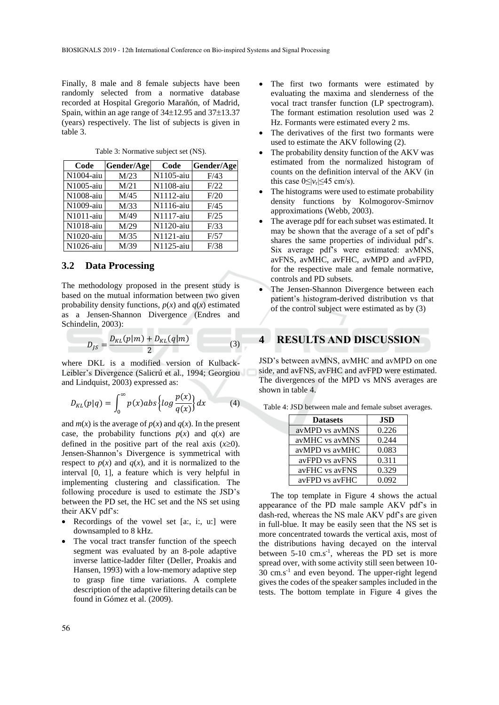Finally, 8 male and 8 female subjects have been randomly selected from a normative database recorded at Hospital Gregorio Marañón, of Madrid, Spain, within an age range of  $34\pm12.95$  and  $37\pm13.37$ (years) respectively. The list of subjects is given in table 3.

| Code      | Gender/Age | Code      | Gender/Age |
|-----------|------------|-----------|------------|
| N1004-aiu | M/23       | N1105-aiu | F/43       |
| N1005-aiu | M/21       | N1108-aiu | F/22       |
| N1008-aiu | M/45       | N1112-aiu | F/20       |
| N1009-aiu | M/33       | N1116-aiu | F/45       |
| N1011-aiu | M/49       | N1117-aiu | F/25       |
| N1018-aiu | M/29       | N1120-aiu | F/33       |
| N1020-aiu | M/35       | N1121-aiu | F/57       |
| N1026-aiu | M/39       | N1125-aiu | F/38       |

Table 3: Normative subject set (NS).

#### **3.2 Data Processing**

The methodology proposed in the present study is based on the mutual information between two given probability density functions,  $p(x)$  and  $q(x)$  estimated as a Jensen-Shannon Divergence (Endres and Schindelin, 2003):

$$
D_{JS} = \frac{D_{KL}(p|m) + D_{KL}(q|m)}{2}
$$
 (3)

where DKL is a modified version of Kulback-Leibler's Divergence (Salicrú et al., 1994; Georgiou and Lindquist, 2003) expressed as:

$$
D_{KL}(p|q) = \int_0^\infty p(x) \, ds \left\{ \log \frac{p(x)}{q(x)} \right\} dx \tag{4}
$$

and  $m(x)$  is the average of  $p(x)$  and  $q(x)$ . In the present case, the probability functions  $p(x)$  and  $q(x)$  are defined in the positive part of the real axis  $(x\geq 0)$ . Jensen-Shannon's Divergence is symmetrical with respect to  $p(x)$  and  $q(x)$ , and it is normalized to the interval [0, 1], a feature which is very helpful in implementing clustering and classification. The following procedure is used to estimate the JSD's between the PD set, the HC set and the NS set using their AKV pdf's:

- Recordings of the vowel set [a:, i:, u:] were downsampled to 8 kHz.
- The vocal tract transfer function of the speech segment was evaluated by an 8-pole adaptive inverse lattice-ladder filter (Deller, Proakis and Hansen, 1993) with a low-memory adaptive step to grasp fine time variations. A complete description of the adaptive filtering details can be found in Gómez et al. (2009).
- The first two formants were estimated by evaluating the maxima and slenderness of the vocal tract transfer function (LP spectrogram). The formant estimation resolution used was 2 Hz. Formants were estimated every 2 ms.
- The derivatives of the first two formants were used to estimate the AKV following (2).
- The probability density function of the AKV was estimated from the normalized histogram of counts on the definition interval of the AKV (in this case  $0 \le |v_r| \le 45$  cm/s).
- The histograms were used to estimate probability density functions by Kolmogorov-Smirnov approximations (Webb, 2003).
- The average pdf for each subset was estimated. It may be shown that the average of a set of pdf's shares the same properties of individual pdf's. Six average pdf's were estimated: avMNS, avFNS, avMHC, avFHC, avMPD and avFPD, for the respective male and female normative, controls and PD subsets.
- The Jensen-Shannon Divergence between each patient's histogram-derived distribution vs that of the control subject were estimated as by (3)

### **4 RESULTS AND DISCUSSION**

JSD's between avMNS, avMHC and avMPD on one side, and avFNS, avFHC and avFPD were estimated. The divergences of the MPD vs MNS averages are shown in table 4.

| Table 4: JSD between male and female subset averages. |  |
|-------------------------------------------------------|--|
|-------------------------------------------------------|--|

| <b>Datasets</b> | .ISD  |  |  |
|-----------------|-------|--|--|
| avMPD vs avMNS  | 0.226 |  |  |
| avMHC vs avMNS  | 0.244 |  |  |
| avMPD vs avMHC  | 0.083 |  |  |
| avFPD vs avFNS  | 0.311 |  |  |
| avFHC vs avFNS  | 0.329 |  |  |
| avFPD vs avFHC  | 0.092 |  |  |

The top template in Figure 4 shows the actual appearance of the PD male sample AKV pdf's in dash-red, whereas the NS male AKV pdf's are given in full-blue. It may be easily seen that the NS set is more concentrated towards the vertical axis, most of the distributions having decayed on the interval between 5-10 cm.s<sup>-1</sup>, whereas the PD set is more spread over, with some activity still seen between 10- 30 cm.s-1 and even beyond. The upper-right legend gives the codes of the speaker samples included in the tests. The bottom template in Figure 4 gives the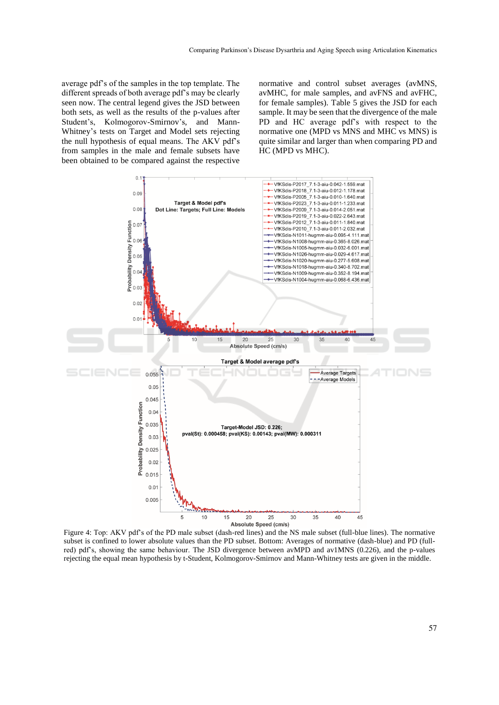average pdf's of the samples in the top template. The different spreads of both average pdf's may be clearly seen now. The central legend gives the JSD between both sets, as well as the results of the p-values after Student's, Kolmogorov-Smirnov's, and Mann-Whitney's tests on Target and Model sets rejecting the null hypothesis of equal means. The AKV pdf's from samples in the male and female subsets have been obtained to be compared against the respective

normative and control subset averages (avMNS, avMHC, for male samples, and avFNS and avFHC, for female samples). Table 5 gives the JSD for each sample. It may be seen that the divergence of the male PD and HC average pdf's with respect to the normative one (MPD vs MNS and MHC vs MNS) is quite similar and larger than when comparing PD and HC (MPD vs MHC).



Figure 4: Top: AKV pdf's of the PD male subset (dash-red lines) and the NS male subset (full-blue lines). The normative subset is confined to lower absolute values than the PD subset. Bottom: Averages of normative (dash-blue) and PD (fullred) pdf's, showing the same behaviour. The JSD divergence between avMPD and av1MNS (0.226), and the p-values rejecting the equal mean hypothesis by t-Student, Kolmogorov-Smirnov and Mann-Whitney tests are given in the middle.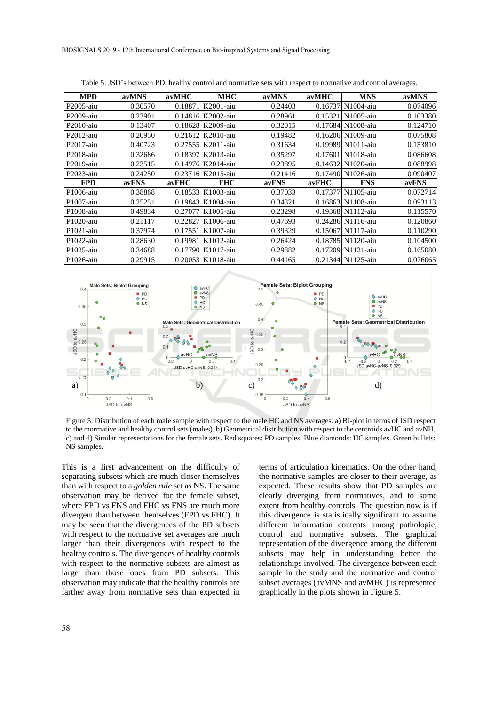| <b>MPD</b>   | avMNS   | avMHC   | <b>MHC</b>        | avMNS   | avMHC   | <b>MNS</b>        | avMNS    |
|--------------|---------|---------|-------------------|---------|---------|-------------------|----------|
| P2005-aiu    | 0.30570 | 0.18871 | K2001-aiu         | 0.24403 | 0.16737 | N1004-aiu         | 0.074096 |
| P2009-aiu    | 0.23901 | 0.14816 | K2002-aiu         | 0.28961 | 0.15321 | N1005-aiu         | 0.103380 |
| $P2010$ -aiu | 0.13407 | 0.18628 | K2009-aiu         | 0.32015 |         | 0.17684 N1008-aiu | 0.124710 |
| $P2012$ -aiu | 0.20950 | 0.21612 | K2010-aiu         | 0.19482 |         | 0.16206 N1009-aiu | 0.075808 |
| $P2017$ -aiu | 0.40723 | 0.27555 | K2011-aiu         | 0.31634 |         | 0.19989 N1011-aiu | 0.153810 |
| P2018-aiu    | 0.32686 | 0.18397 | K2013-aiu         | 0.35297 | 0.17601 | N1018-aiu         | 0.086608 |
| $P2019$ -aiu | 0.23515 | 0.14976 | K2014-aiu         | 0.23895 | 0.14632 | N1020-aiu         | 0.088998 |
| $P2023$ -aiu | 0.24250 |         | 0.23716 K2015-aiu | 0.21416 |         | 0.17490 N1026-aiu | 0.090407 |
| <b>FPD</b>   | avFNS   | avFHC   | <b>FHC</b>        | avFNS   | avFHC   | <b>FNS</b>        | avFNS    |
| P1006-aiu    | 0.38868 | 0.18533 | K1003-aiu         | 0.37033 | 0.17377 | N1105-aiu         | 0.072714 |
| P1007-aiu    | 0.25251 | 0.19843 | K1004-aiu         | 0.34321 |         | 0.16863 N1108-aiu | 0.093113 |
| P1008-aiu    | 0.49834 | 0.27077 | K1005-aiu         | 0.23298 |         | 0.19368 N1112-aiu | 0.115570 |
| P1020-aiu    | 0.21117 | 0.22827 | K1006-aiu         | 0.47693 |         | 0.24286 N1116-aiu | 0.120860 |
| $P1021$ -aiu | 0.37974 | 0.17551 | K1007-aiu         | 0.39329 | 0.15067 | N1117-aiu         | 0.110290 |
| $P1022$ -aiu | 0.28630 | 0.19981 | K1012-aiu         | 0.26424 |         | 0.18785 N1120-aiu | 0.104500 |
| P1025-aiu    | 0.34688 | 0.17790 | K1017-aiu         | 0.29882 |         | 0.17209 N1121-aiu | 0.165080 |
| P1026-aiu    | 0.29915 |         | 0.20053 K1018-aiu | 0.44165 |         | 0.21344 N1125-aiu | 0.076065 |

Table 5: JSD's between PD, healthy control and normative sets with respect to normative and control averages.



Figure 5: Distribution of each male sample with respect to the male HC and NS averages. a) Bi-plot in terms of JSD respect to the mormative and healthy control sets (males). b) Geometrical distribution with respect to the centroids avHC and avNH. c) and d) Similar representations for the female sets. Red squares: PD samples. Blue diamonds: HC samples. Green bullets: NS samples.

This is a first advancement on the difficulty of separating subsets which are much closer themselves than with respect to a *golden rule* set as NS. The same observation may be derived for the female subset, where FPD vs FNS and FHC vs FNS are much more divergent than between themselves (FPD vs FHC). It may be seen that the divergences of the PD subsets with respect to the normative set averages are much larger than their divergences with respect to the healthy controls. The divergences of healthy controls with respect to the normative subsets are almost as large than those ones from PD subsets. This observation may indicate that the healthy controls are farther away from normative sets than expected in terms of articulation kinematics. On the other hand, the normative samples are closer to their average, as expected. These results show that PD samples are clearly diverging from normatives, and to some extent from healthy controls. The question now is if this divergence is statistically significant to assume different information contents among pathologic, control and normative subsets. The graphical representation of the divergence among the different subsets may help in understanding better the relationships involved. The divergence between each sample in the study and the normative and control subset averages (avMNS and avMHC) is represented graphically in the plots shown in Figure 5.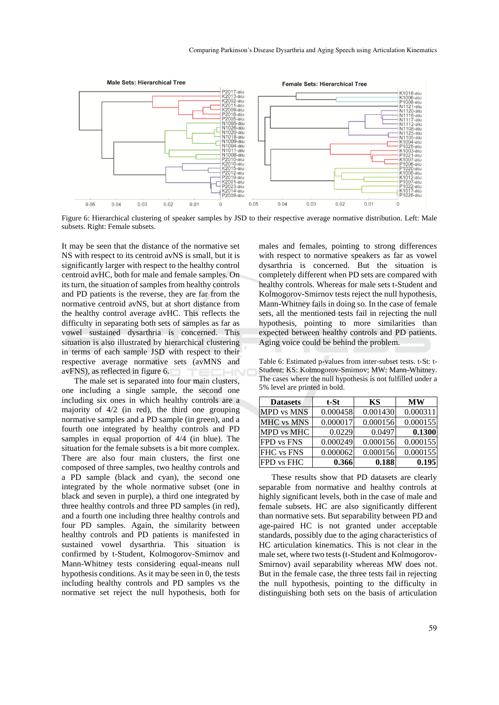

Figure 6: Hierarchical clustering of speaker samples by JSD to their respective average normative distribution. Left: Male subsets. Right: Female subsets.

It may be seen that the distance of the normative set NS with respect to its centroid avNS is small, but it is significantly larger with respect to the healthy control centroid avHC, both for male and female samples. On its turn, the situation of samples from healthy controls and PD patients is the reverse, they are far from the normative centroid avNS, but at short distance from the healthy control average avHC. This reflects the difficulty in separating both sets of samples as far as vowel sustained dysarthria is concerned. This situation is also illustrated by hierarchical clustering in terms of each sample JSD with respect to their respective average normative sets (avMNS and avFNS), as reflected in figure 6.

The male set is separated into four main clusters, one including a single sample, the second one including six ones in which healthy controls are a majority of 4/2 (in red), the third one grouping normative samples and a PD sample (in green), and a fourth one integrated by healthy controls and PD samples in equal proportion of 4/4 (in blue). The situation for the female subsets is a bit more complex. There are also four main clusters, the first one composed of three samples, two healthy controls and a PD sample (black and cyan), the second one integrated by the whole normative subset (one in black and seven in purple), a third one integrated by three healthy controls and three PD samples (in red), and a fourth one including three healthy controls and four PD samples. Again, the similarity between healthy controls and PD patients is manifested in sustained vowel dysarthria. This situation is confirmed by t-Student, Kolmogorov-Smirnov and Mann-Whitney tests considering equal-means null hypothesis conditions. As it may be seen in 0, the tests including healthy controls and PD samples vs the normative set reject the null hypothesis, both for

males and females, pointing to strong differences with respect to normative speakers as far as vowel dysarthria is concerned. But the situation is completely different when PD sets are compared with healthy controls. Whereas for male sets t-Student and Kolmogorov-Smirnov tests reject the null hypothesis, Mann-Whitney fails in doing so. In the case of female sets, all the mentioned tests fail in rejecting the null hypothesis, pointing to more similarities than expected between healthy controls and PD patients. Aging voice could be behind the problem.

Table 6: Estimated p-values from inter-subset tests. t-St: t-Student; KS: Kolmogorov-Smirnov; MW: Mann-Whitney. The cases where the null hypothesis is not fulfilled under a 5% level are printed in bold.

| <b>Datasets</b>   | t-St     | KS       | <b>MW</b> |
|-------------------|----------|----------|-----------|
| <b>MPD</b> vs MNS | 0.000458 | 0.001430 | 0.000311  |
| <b>MHC</b> vs MNS | 0.000017 | 0.000156 | 0.000155  |
| MPD vs MHC        | 0.0229   | 0.0497   | 0.1300    |
| FPD vs FNS        | 0.000249 | 0.000156 | 0.000155  |
| FHC vs FNS        | 0.000062 | 0.000156 | 0.000155  |
| <b>FPD</b> vs FHC | 0.366    | 0.188    | 0.195     |

These results show that PD datasets are clearly separable from normative and healthy controls at highly significant levels, both in the case of male and female subsets. HC are also significantly different than normative sets. But separability between PD and age-paired HC is not granted under acceptable standards, possibly due to the aging characteristics of HC articulation kinematics. This is not clear in the male set, where two tests (t-Student and Kolmogorov-Smirnov) avail separability whereas MW does not. But in the female case, the three tests fail in rejecting the null hypothesis, pointing to the difficulty in distinguishing both sets on the basis of articulation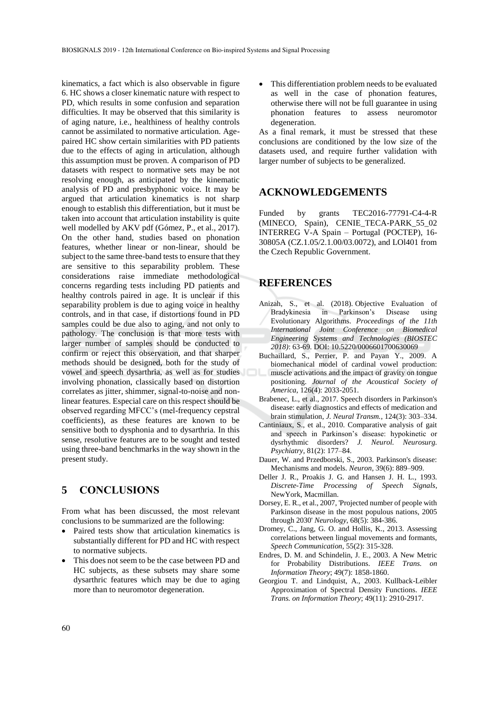kinematics, a fact which is also observable in figure 6. HC shows a closer kinematic nature with respect to PD, which results in some confusion and separation difficulties. It may be observed that this similarity is of aging nature, i.e., healthiness of healthy controls cannot be assimilated to normative articulation. Agepaired HC show certain similarities with PD patients due to the effects of aging in articulation, although this assumption must be proven. A comparison of PD datasets with respect to normative sets may be not resolving enough, as anticipated by the kinematic analysis of PD and presbyphonic voice. It may be argued that articulation kinematics is not sharp enough to establish this differentiation, but it must be taken into account that articulation instability is quite well modelled by AKV pdf (Gómez, P., et al., 2017). On the other hand, studies based on phonation features, whether linear or non-linear, should be subject to the same three-band tests to ensure that they are sensitive to this separability problem. These considerations raise immediate methodological concerns regarding tests including PD patients and healthy controls paired in age. It is unclear if this separability problem is due to aging voice in healthy controls, and in that case, if distortions found in PD samples could be due also to aging, and not only to pathology. The conclusion is that more tests with larger number of samples should be conducted to confirm or reject this observation, and that sharper methods should be designed, both for the study of vowel and speech dysarthria, as well as for studies involving phonation, classically based on distortion correlates as jitter, shimmer, signal-to-noise and nonlinear features. Especial care on this respect should be observed regarding MFCC's (mel-frequency cepstral coefficients), as these features are known to be sensitive both to dysphonia and to dysarthria. In this sense, resolutive features are to be sought and tested using three-band benchmarks in the way shown in the present study.

# **5 CONCLUSIONS**

From what has been discussed, the most relevant conclusions to be summarized are the following:

- Paired tests show that articulation kinematics is substantially different for PD and HC with respect to normative subjects.
- This does not seem to be the case between PD and HC subjects, as these subsets may share some dysarthric features which may be due to aging more than to neuromotor degeneration.

This differentiation problem needs to be evaluated as well in the case of phonation features, otherwise there will not be full guarantee in using phonation features to assess neuromotor degeneration.

As a final remark, it must be stressed that these conclusions are conditioned by the low size of the datasets used, and require further validation with larger number of subjects to be generalized.

### **ACKNOWLEDGEMENTS**

Funded by grants TEC2016-77791-C4-4-R (MINECO, Spain), CENIE\_TECA-PARK\_55\_02 INTERREG V-A Spain – Portugal (POCTEP), 16- 30805A (CZ.1.05/2.1.00/03.0072), and LOl401 from the Czech Republic Government.

### **REFERENCES**

- Anizah, S., et al. (2018). Objective Evaluation of Bradykinesia in Parkinson's Disease using Evolutionary Algorithms. *Proceedings of the 11th International Joint Conference on Biomedical Engineering Systems and Technologies (BIOSTEC 2018)*: 63-69. DOI: 10.5220/0006601700630069
- Buchaillard, S., Perrier, P. and Payan Y., 2009. A biomechanical model of cardinal vowel production: muscle activations and the impact of gravity on tongue positioning. *Journal of the Acoustical Society of America*, 126(4): 2033-2051.
- Brabenec, L., et al., 2017. Speech disorders in Parkinson's disease: early diagnostics and effects of medication and brain stimulation, *J. Neural Transm.*, 124(3): 303–334.
- Cantiniaux, S., et al., 2010. Comparative analysis of gait and speech in Parkinson's disease: hypokinetic or dysrhythmic disorders? *J. Neurol. Neurosurg. Psychiatry*, 81(2): 177–84.
- Dauer, W. and Przedborski, S., 2003. Parkinson's disease: Mechanisms and models. *Neuron*, 39(6): 889–909.
- Deller J. R., Proakis J. G. and Hansen J. H. L., 1993. *Discrete-Time Processing of Speech Signals*, NewYork, Macmillan.
- Dorsey, E. R., et al., 2007, 'Projected number of people with Parkinson disease in the most populous nations, 2005 through 2030' *Neurology*, 68(5): 384-386.
- Dromey, C., Jang, G. O. and Hollis, K., 2013. Assessing correlations between lingual movements and formants, *Speech Communication*, 55(2): 315-328.
- Endres, D. M. and Schindelin, J. E., 2003. A New Metric for Probability Distributions. *IEEE Trans. on Information Theory*; 49(7): 1858-1860.
- Georgiou T. and Lindquist, A., 2003. Kullback-Leibler Approximation of Spectral Density Functions. *IEEE Trans. on Information Theory*; 49(11): 2910-2917.